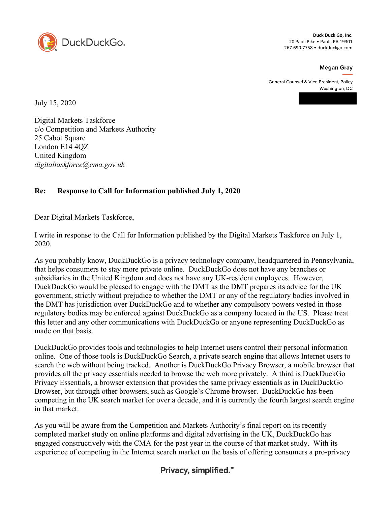

**Duck Duck Go, Inc.** 20 Paoli Pike • Paoli, PA 19301 267.690.7758 • duckduckgo.com

**Megan Gray** 

General Counsel & Vice President, Policy Washington, DC

July 15, 2020

Digital Markets Taskforce c/o Competition and Markets Authority 25 Cabot Square London E14 4QZ United Kingdom *digitaltaskforce@cma.gov.uk* 

## **Re: Response to Call for Information published July 1, 2020**

Dear Digital Markets Taskforce,

I write in response to the Call for Information published by the Digital Markets Taskforce on July 1, 2020.

As you probably know, DuckDuckGo is a privacy technology company, headquartered in Pennsylvania, that helps consumers to stay more private online. DuckDuckGo does not have any branches or subsidiaries in the United Kingdom and does not have any UK-resident employees. However, DuckDuckGo would be pleased to engage with the DMT as the DMT prepares its advice for the UK government, strictly without prejudice to whether the DMT or any of the regulatory bodies involved in the DMT has jurisdiction over DuckDuckGo and to whether any compulsory powers vested in those regulatory bodies may be enforced against DuckDuckGo as a company located in the US. Please treat this letter and any other communications with DuckDuckGo or anyone representing DuckDuckGo as made on that basis.

DuckDuckGo provides tools and technologies to help Internet users control their personal information online. One of those tools is DuckDuckGo Search, a private search engine that allows Internet users to search the web without being tracked. Another is DuckDuckGo Privacy Browser, a mobile browser that provides all the privacy essentials needed to browse the web more privately. A third is DuckDuckGo Privacy Essentials, a browser extension that provides the same privacy essentials as in DuckDuckGo Browser, but through other browsers, such as Google's Chrome browser. DuckDuckGo has been competing in the UK search market for over a decade, and it is currently the fourth largest search engine in that market.

As you will be aware from the Competition and Markets Authority's final report on its recently completed market study on online platforms and digital advertising in the UK, DuckDuckGo has engaged constructively with the CMA for the past year in the course of that market study. With its experience of competing in the Internet search market on the basis of offering consumers a pro-privacy

## Privacy, simplified.<sup>™</sup>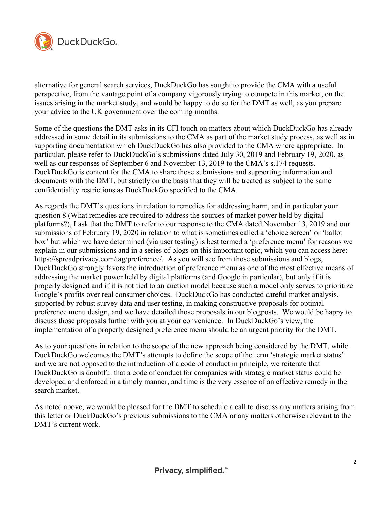

alternative for general search services, DuckDuckGo has sought to provide the CMA with a useful perspective, from the vantage point of a company vigorously trying to compete in this market, on the issues arising in the market study, and would be happy to do so for the DMT as well, as you prepare your advice to the UK government over the coming months.

Some of the questions the DMT asks in its CFI touch on matters about which DuckDuckGo has already addressed in some detail in its submissions to the CMA as part of the market study process, as well as in supporting documentation which DuckDuckGo has also provided to the CMA where appropriate. In particular, please refer to DuckDuckGo's submissions dated July 30, 2019 and February 19, 2020, as well as our responses of September 6 and November 13, 2019 to the CMA's s.174 requests. DuckDuckGo is content for the CMA to share those submissions and supporting information and documents with the DMT, but strictly on the basis that they will be treated as subject to the same confidentiality restrictions as DuckDuckGo specified to the CMA.

As regards the DMT's questions in relation to remedies for addressing harm, and in particular your question 8 (What remedies are required to address the sources of market power held by digital platforms?), I ask that the DMT to refer to our response to the CMA dated November 13, 2019 and our submissions of February 19, 2020 in relation to what is sometimes called a 'choice screen' or 'ballot box' but which we have determined (via user testing) is best termed a 'preference menu' for reasons we explain in our submissions and in a series of blogs on this important topic, which you can access here: https://spreadprivacy.com/tag/preference/. As you will see from those submissions and blogs, DuckDuckGo strongly favors the introduction of preference menu as one of the most effective means of addressing the market power held by digital platforms (and Google in particular), but only if it is properly designed and if it is not tied to an auction model because such a model only serves to prioritize Google's profits over real consumer choices. DuckDuckGo has conducted careful market analysis, supported by robust survey data and user testing, in making constructive proposals for optimal preference menu design, and we have detailed those proposals in our blogposts. We would be happy to discuss those proposals further with you at your convenience. In DuckDuckGo's view, the implementation of a properly designed preference menu should be an urgent priority for the DMT.

As to your questions in relation to the scope of the new approach being considered by the DMT, while DuckDuckGo welcomes the DMT's attempts to define the scope of the term 'strategic market status' and we are not opposed to the introduction of a code of conduct in principle, we reiterate that DuckDuckGo is doubtful that a code of conduct for companies with strategic market status could be developed and enforced in a timely manner, and time is the very essence of an effective remedy in the search market.

As noted above, we would be pleased for the DMT to schedule a call to discuss any matters arising from this letter or DuckDuckGo's previous submissions to the CMA or any matters otherwise relevant to the DMT's current work.